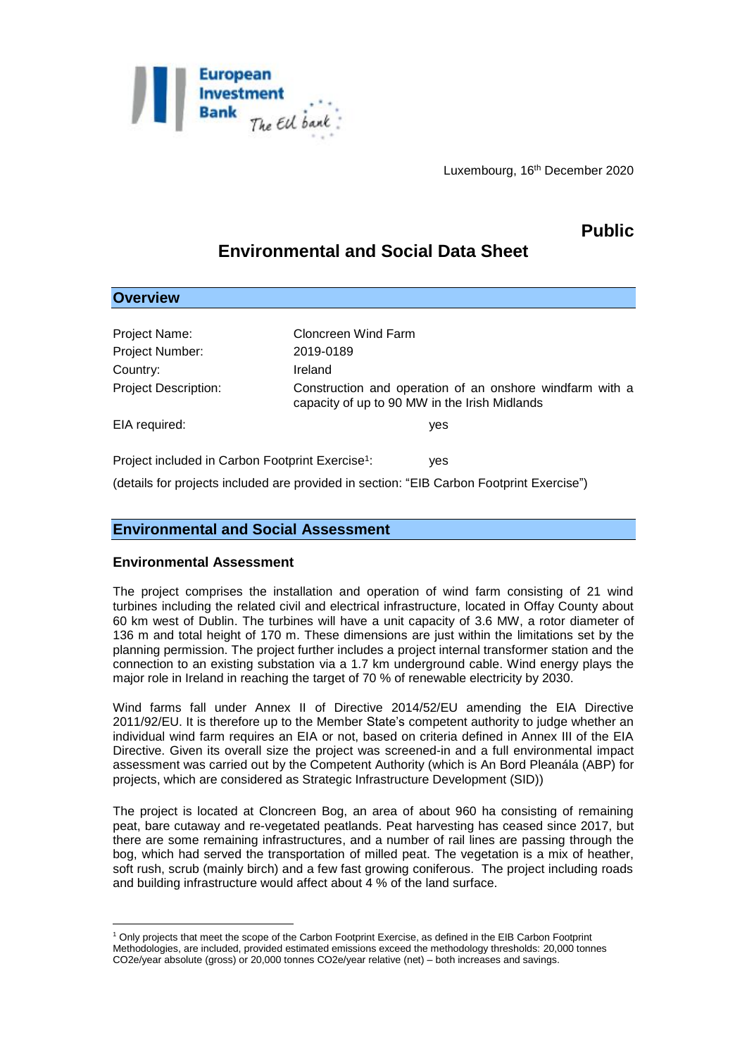

Luxembourg, 16th December 2020

## **Public**

# **Environmental and Social Data Sheet**

| <b>Overview</b>                                              |                                                                                                           |
|--------------------------------------------------------------|-----------------------------------------------------------------------------------------------------------|
|                                                              |                                                                                                           |
| Project Name:                                                | Cloncreen Wind Farm                                                                                       |
| Project Number:                                              | 2019-0189                                                                                                 |
| Country:                                                     | Ireland                                                                                                   |
| <b>Project Description:</b>                                  | Construction and operation of an onshore windfarm with a<br>capacity of up to 90 MW in the Irish Midlands |
| EIA required:                                                | yes                                                                                                       |
| Project included in Carbon Footprint Exercise <sup>1</sup> : | ves                                                                                                       |
|                                                              | (details for projects included are provided in section: "EIB Carbon Footprint Exercise")                  |

### **Environmental and Social Assessment**

#### **Environmental Assessment**

The project comprises the installation and operation of wind farm consisting of 21 wind turbines including the related civil and electrical infrastructure, located in Offay County about 60 km west of Dublin. The turbines will have a unit capacity of 3.6 MW, a rotor diameter of 136 m and total height of 170 m. These dimensions are just within the limitations set by the planning permission. The project further includes a project internal transformer station and the connection to an existing substation via a 1.7 km underground cable. Wind energy plays the major role in Ireland in reaching the target of 70 % of renewable electricity by 2030.

Wind farms fall under Annex II of Directive 2014/52/EU amending the EIA Directive 2011/92/EU. It is therefore up to the Member State's competent authority to judge whether an individual wind farm requires an EIA or not, based on criteria defined in Annex III of the EIA Directive. Given its overall size the project was screened-in and a full environmental impact assessment was carried out by the Competent Authority (which is An Bord Pleanála (ABP) for projects, which are considered as Strategic Infrastructure Development (SID))

The project is located at Cloncreen Bog, an area of about 960 ha consisting of remaining peat, bare cutaway and re-vegetated peatlands. Peat harvesting has ceased since 2017, but there are some remaining infrastructures, and a number of rail lines are passing through the bog, which had served the transportation of milled peat. The vegetation is a mix of heather, soft rush, scrub (mainly birch) and a few fast growing coniferous. The project including roads and building infrastructure would affect about 4 % of the land surface.

<sup>&</sup>lt;u>.</u> <sup>1</sup> Only projects that meet the scope of the Carbon Footprint Exercise, as defined in the EIB Carbon Footprint Methodologies, are included, provided estimated emissions exceed the methodology thresholds: 20,000 tonnes CO2e/year absolute (gross) or 20,000 tonnes CO2e/year relative (net) – both increases and savings.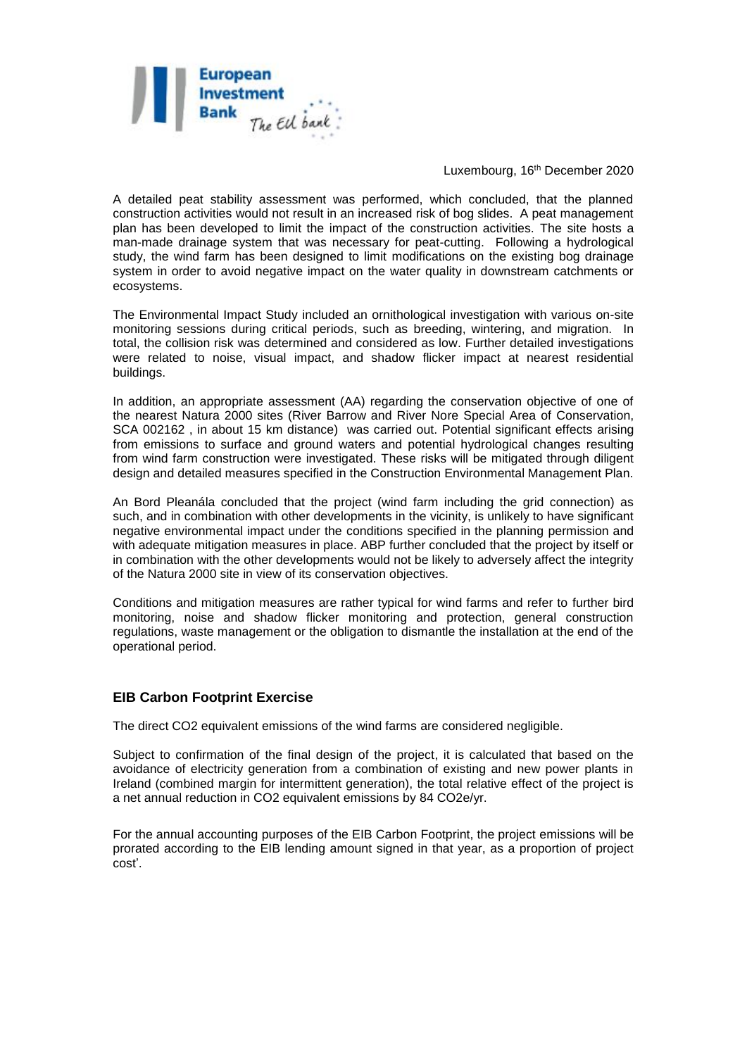

Luxembourg, 16th December 2020

A detailed peat stability assessment was performed, which concluded, that the planned construction activities would not result in an increased risk of bog slides. A peat management plan has been developed to limit the impact of the construction activities. The site hosts a man-made drainage system that was necessary for peat-cutting. Following a hydrological study, the wind farm has been designed to limit modifications on the existing bog drainage system in order to avoid negative impact on the water quality in downstream catchments or ecosystems.

The Environmental Impact Study included an ornithological investigation with various on-site monitoring sessions during critical periods, such as breeding, wintering, and migration. In total, the collision risk was determined and considered as low. Further detailed investigations were related to noise, visual impact, and shadow flicker impact at nearest residential buildings.

In addition, an appropriate assessment (AA) regarding the conservation objective of one of the nearest Natura 2000 sites (River Barrow and River Nore Special Area of Conservation, SCA 002162 , in about 15 km distance) was carried out. Potential significant effects arising from emissions to surface and ground waters and potential hydrological changes resulting from wind farm construction were investigated. These risks will be mitigated through diligent design and detailed measures specified in the Construction Environmental Management Plan.

An Bord Pleanála concluded that the project (wind farm including the grid connection) as such, and in combination with other developments in the vicinity, is unlikely to have significant negative environmental impact under the conditions specified in the planning permission and with adequate mitigation measures in place. ABP further concluded that the project by itself or in combination with the other developments would not be likely to adversely affect the integrity of the Natura 2000 site in view of its conservation objectives.

Conditions and mitigation measures are rather typical for wind farms and refer to further bird monitoring, noise and shadow flicker monitoring and protection, general construction regulations, waste management or the obligation to dismantle the installation at the end of the operational period.

## **EIB Carbon Footprint Exercise**

The direct CO2 equivalent emissions of the wind farms are considered negligible.

Subject to confirmation of the final design of the project, it is calculated that based on the avoidance of electricity generation from a combination of existing and new power plants in Ireland (combined margin for intermittent generation), the total relative effect of the project is a net annual reduction in CO2 equivalent emissions by 84 CO2e/yr.

For the annual accounting purposes of the EIB Carbon Footprint, the project emissions will be prorated according to the EIB lending amount signed in that year, as a proportion of project cost'.